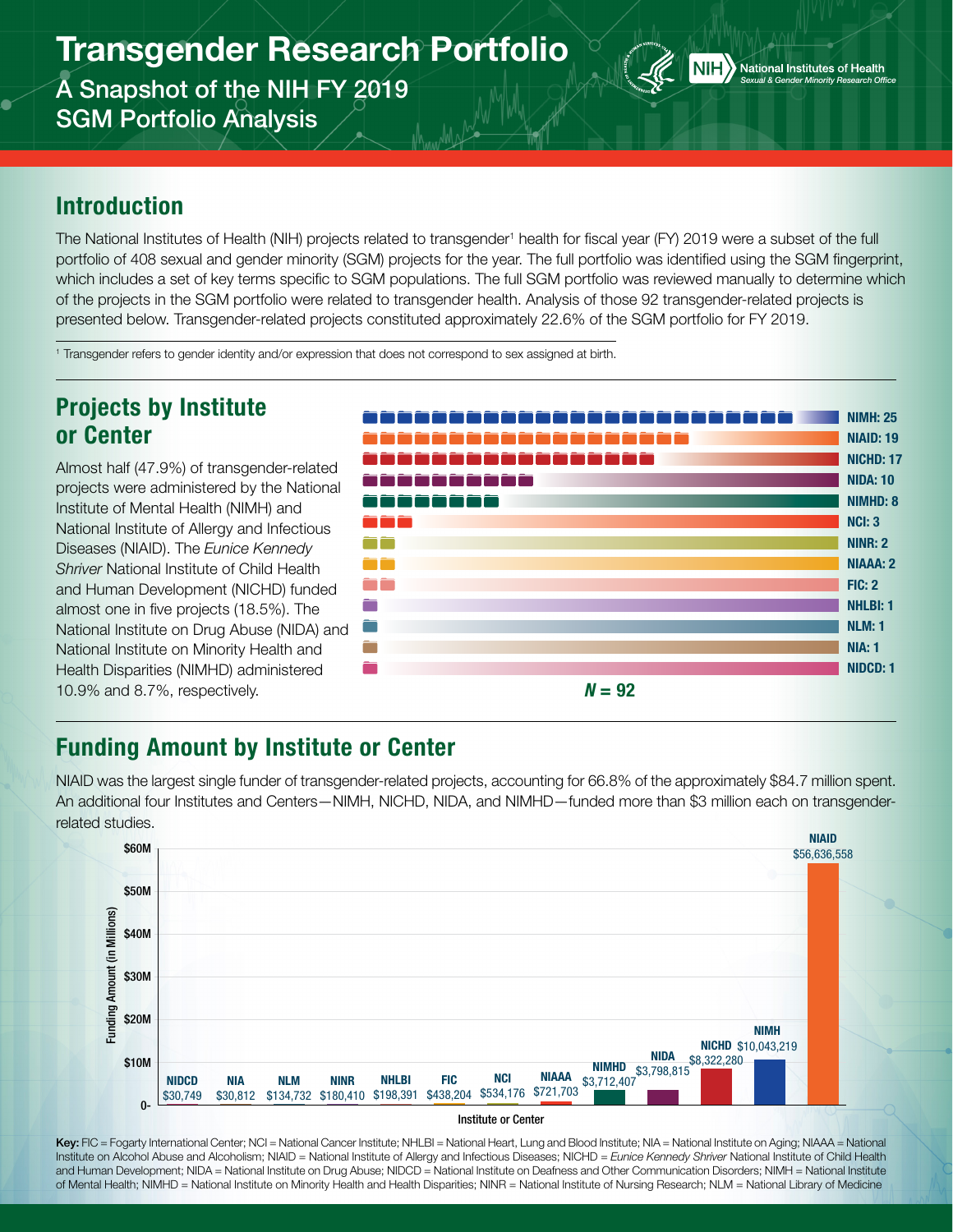# Transgender Research Portfolio

A Snapshot of the NIH FY 2019 SGM Portfolio Analysis



### Introduction

The National Institutes of Health (NIH) projects related to transgender<sup>1</sup> health for fiscal year (FY) 2019 were a subset of the full portfolio of 408 sexual and gender minority (SGM) projects for the year. The full portfolio was identified using the SGM fingerprint, which includes a set of key terms specific to SGM populations. The full SGM portfolio was reviewed manually to determine which of the projects in the SGM portfolio were related to transgender health. Analysis of those 92 transgender-related projects is presented below. Transgender-related projects constituted approximately 22.6% of the SGM portfolio for FY 2019.

1 Transgender refers to gender identity and/or expression that does not correspond to sex assigned at birth.

### Projects by Institute or Center

Almost half (47.9%) of transgender-related projects were administered by the National Institute of Mental Health (NIMH) and National Institute of Allergy and Infectious Diseases (NIAID). The *Eunice Kennedy Shriver* National Institute of Child Health and Human Development (NICHD) funded almost one in five projects (18.5%). The National Institute on Drug Abuse (NIDA) and National Institute on Minority Health and Health Disparities (NIMHD) administered 10.9% and 8.7%, respectively.



## Funding Amount by Institute or Center

NIAID was the largest single funder of transgender-related projects, accounting for 66.8% of the approximately \$84.7 million spent. An additional four Institutes and Centers—NIMH, NICHD, NIDA, and NIMHD—funded more than \$3 million each on transgenderrelated studies.



#### Institute or Center

Key: FIC = Fogarty International Center; NCI = National Cancer Institute; NHLBI = National Heart, Lung and Blood Institute; NIA = National Institute on Aging; NIAAA = National Institute on Alcohol Abuse and Alcoholism; NIAID = National Institute of Allergy and Infectious Diseases; NICHD = *Eunice Kennedy Shriver* National Institute of Child Health and Human Development; NIDA = National Institute on Drug Abuse; NIDCD = National Institute on Deafness and Other Communication Disorders; NIMH = National Institute of Mental Health; NIMHD = National Institute on Minority Health and Health Disparities; NINR = National Institute of Nursing Research; NLM = National Library of Medicine